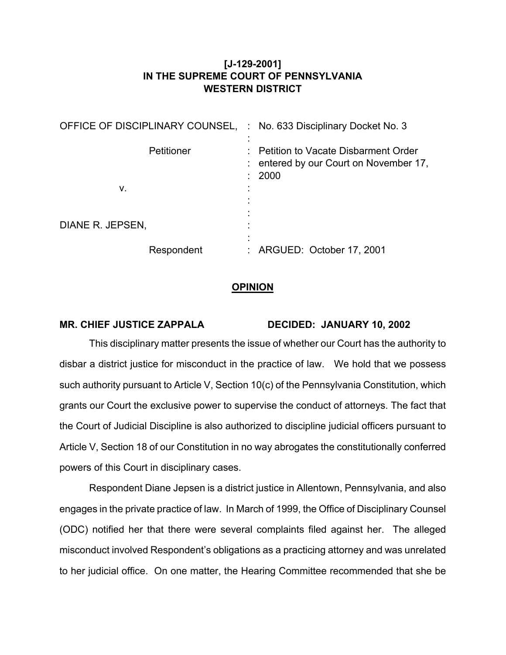## **[J-129-2001] IN THE SUPREME COURT OF PENNSYLVANIA WESTERN DISTRICT**

| OFFICE OF DISCIPLINARY COUNSEL, | : No. 633 Disciplinary Docket No. 3                                                   |
|---------------------------------|---------------------------------------------------------------------------------------|
| Petitioner<br>v.                | Petition to Vacate Disbarment Order<br>: entered by our Court on November 17,<br>2000 |
|                                 |                                                                                       |
| DIANE R. JEPSEN,                |                                                                                       |
| Respondent                      | : ARGUED: October 17, 2001                                                            |

## **OPINION**

## **MR. CHIEF JUSTICE ZAPPALA DECIDED: JANUARY 10, 2002**

This disciplinary matter presents the issue of whether our Court has the authority to disbar a district justice for misconduct in the practice of law. We hold that we possess such authority pursuant to Article V, Section 10(c) of the Pennsylvania Constitution, which grants our Court the exclusive power to supervise the conduct of attorneys. The fact that the Court of Judicial Discipline is also authorized to discipline judicial officers pursuant to Article V, Section 18 of our Constitution in no way abrogates the constitutionally conferred powers of this Court in disciplinary cases.

Respondent Diane Jepsen is a district justice in Allentown, Pennsylvania, and also engages in the private practice of law. In March of 1999, the Office of Disciplinary Counsel (ODC) notified her that there were several complaints filed against her. The alleged misconduct involved Respondent's obligations as a practicing attorney and was unrelated to her judicial office. On one matter, the Hearing Committee recommended that she be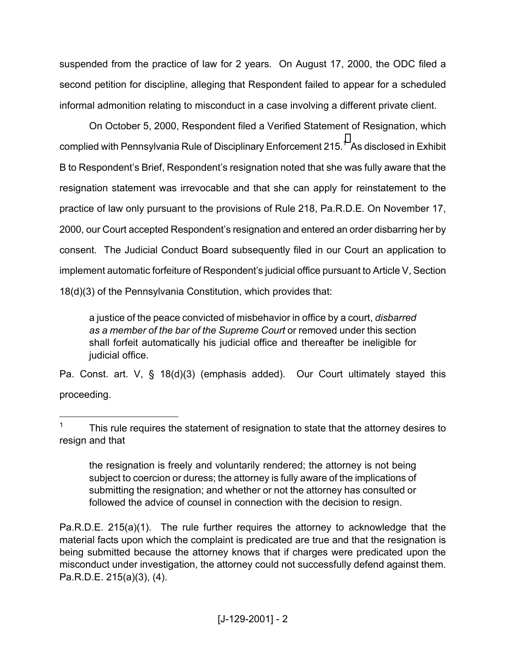suspended from the practice of law for 2 years. On August 17, 2000, the ODC filed a second petition for discipline, alleging that Respondent failed to appear for a scheduled informal admonition relating to misconduct in a case involving a different private client.

On October 5, 2000, Respondent filed a Verified Statement of Resignation, which complied with Pennsylvania Rule of Disciplinary Enforcement 2[1](#page-1-0)5.<sup>1</sup> As disclosed in Exhibit B to Respondent's Brief, Respondent's resignation noted that she was fully aware that the resignation statement was irrevocable and that she can apply for reinstatement to the practice of law only pursuant to the provisions of Rule 218, Pa.R.D.E. On November 17, 2000, our Court accepted Respondent's resignation and entered an order disbarring her by consent. The Judicial Conduct Board subsequently filed in our Court an application to implement automatic forfeiture of Respondent's judicial office pursuant to Article V, Section 18(d)(3) of the Pennsylvania Constitution, which provides that:

a justice of the peace convicted of misbehavior in office by a court, *disbarred*  as a member of the bar of the Supreme Court or removed under this section shall forfeit automatically his judicial office and thereafter be ineligible for judicial office.

Pa. Const. art. V, § 18(d)(3) (emphasis added). Our Court ultimately stayed this proceeding.

1

the resignation is freely and voluntarily rendered; the attorney is not being subject to coercion or duress; the attorney is fully aware of the implications of submitting the resignation; and whether or not the attorney has consulted or followed the advice of counsel in connection with the decision to resign.

Pa.R.D.E. 215(a)(1). The rule further requires the attorney to acknowledge that the material facts upon which the complaint is predicated are true and that the resignation is being submitted because the attorney knows that if charges were predicated upon the misconduct under investigation, the attorney could not successfully defend against them. Pa.R.D.E. 215(a)(3), (4).

<span id="page-1-0"></span><sup>1</sup> This rule requires the statement of resignation to state that the attorney desires to resign and that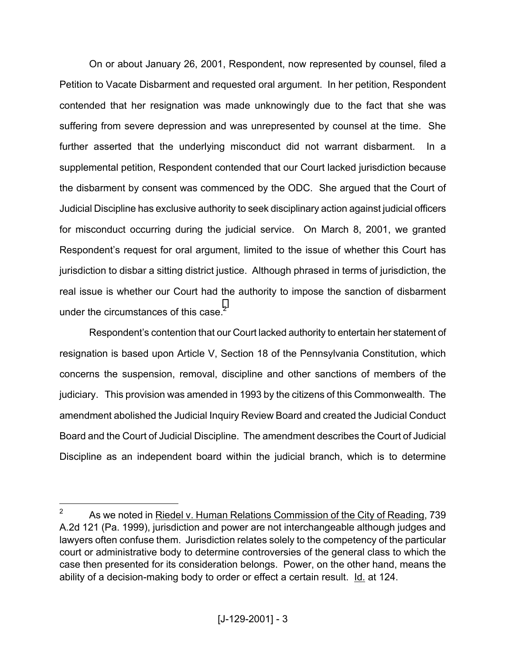On or about January 26, 2001, Respondent, now represented by counsel, filed a Petition to Vacate Disbarment and requested oral argument. In her petition, Respondent contended that her resignation was made unknowingly due to the fact that she was suffering from severe depression and was unrepresented by counsel at the time. She further asserted that the underlying misconduct did not warrant disbarment. In a supplemental petition, Respondent contended that our Court lacked jurisdiction because the disbarment by consent was commenced by the ODC. She argued that the Court of Judicial Discipline has exclusive authority to seek disciplinary action against judicial officers for misconduct occurring during the judicial service. On March 8, 2001, we granted Respondent's request for oral argument, limited to the issue of whether this Court has jurisdiction to disbar a sitting district justice. Although phrased in terms of jurisdiction, the real issue is whether our Court had the authority to impose the sanction of disbarment under the circumstances of this case.<sup>2</sup>

 Respondent's contention that our Court lacked authority to entertain her statement of resignation is based upon Article V, Section 18 of the Pennsylvania Constitution, which concerns the suspension, removal, discipline and other sanctions of members of the judiciary. This provision was amended in 1993 by the citizens of this Commonwealth. The amendment abolished the Judicial Inquiry Review Board and created the Judicial Conduct Board and the Court of Judicial Discipline. The amendment describes the Court of Judicial Discipline as an independent board within the judicial branch, which is to determine

1

<span id="page-2-0"></span><sup>2</sup> As we noted in Riedel v. Human Relations Commission of the City of Reading, 739 A.2d 121 (Pa. 1999), jurisdiction and power are not interchangeable although judges and lawyers often confuse them. Jurisdiction relates solely to the competency of the particular court or administrative body to determine controversies of the general class to which the case then presented for its consideration belongs. Power, on the other hand, means the ability of a decision-making body to order or effect a certain result. Id. at 124.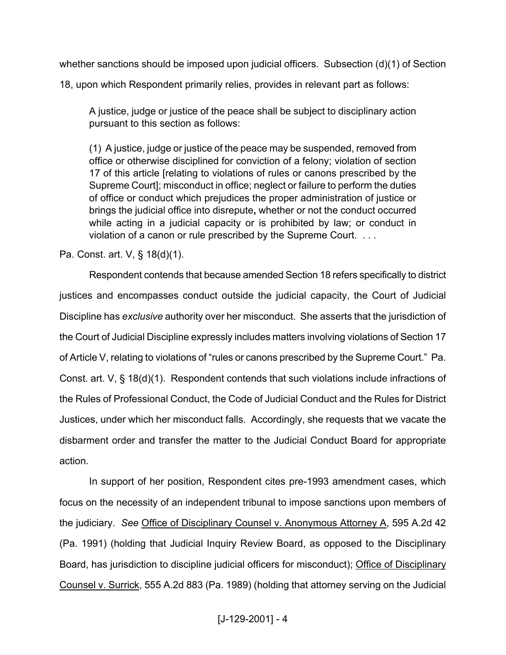whether sanctions should be imposed upon judicial officers. Subsection (d)(1) of Section

18, upon which Respondent primarily relies, provides in relevant part as follows:

A justice, judge or justice of the peace shall be subject to disciplinary action pursuant to this section as follows:

(1) A justice, judge or justice of the peace may be suspended, removed from office or otherwise disciplined for conviction of a felony; violation of section 17 of this article [relating to violations of rules or canons prescribed by the Supreme Court]; misconduct in office; neglect or failure to perform the duties of office or conduct which prejudices the proper administration of justice or brings the judicial office into disrepute**,** whether or not the conduct occurred while acting in a judicial capacity or is prohibited by law; or conduct in violation of a canon or rule prescribed by the Supreme Court. . . .

Pa. Const. art. V, § 18(d)(1).

 Respondent contends that because amended Section 18 refers specifically to district justices and encompasses conduct outside the judicial capacity, the Court of Judicial Discipline has *exclusive* authority over her misconduct. She asserts that the jurisdiction of the Court of Judicial Discipline expressly includes matters involving violations of Section 17 of Article V, relating to violations of "rules or canons prescribed by the Supreme Court." Pa. Const. art. V, § 18(d)(1). Respondent contends that such violations include infractions of the Rules of Professional Conduct, the Code of Judicial Conduct and the Rules for District Justices, under which her misconduct falls. Accordingly, she requests that we vacate the disbarment order and transfer the matter to the Judicial Conduct Board for appropriate action.

In support of her position, Respondent cites pre-1993 amendment cases, which focus on the necessity of an independent tribunal to impose sanctions upon members of the judiciary. *See* Office of Disciplinary Counsel v. Anonymous Attorney A, 595 A.2d 42 (Pa. 1991) (holding that Judicial Inquiry Review Board, as opposed to the Disciplinary Board, has jurisdiction to discipline judicial officers for misconduct); Office of Disciplinary Counsel v. Surrick, 555 A.2d 883 (Pa. 1989) (holding that attorney serving on the Judicial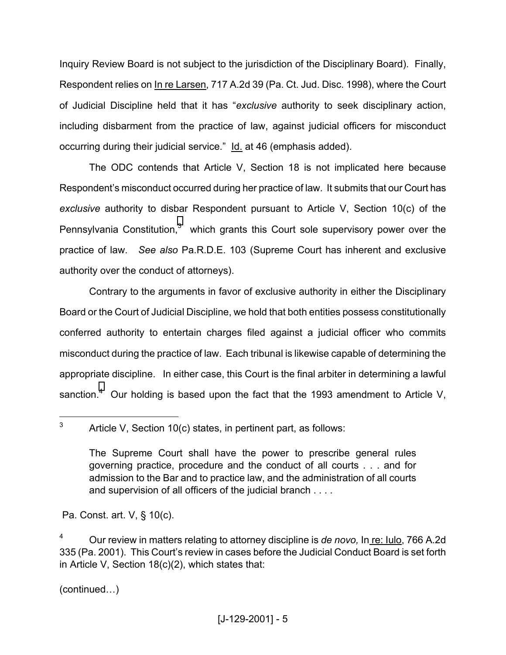<span id="page-4-1"></span>Inquiry Review Board is not subject to the jurisdiction of the Disciplinary Board). Finally, Respondent relies on In re Larsen, 717 A.2d 39 (Pa. Ct. Jud. Disc. 1998), where the Court of Judicial Discipline held that it has "*exclusive* authority to seek disciplinary action, including disbarment from the practice of law, against judicial officers for misconduct occurring during their judicial service." Id. at 46 (emphasis added).

The ODC contends that Article V, Section 18 is not implicated here because Respondent's misconduct occurred during her practice of law. It submits that our Court has *exclusive* authority to disbar Respondent pursuant to Article V, Section 10(c) of the Pennsylvania Constitution, $3$  which grants this Court sole supervisory power over the practice of law. *See also* Pa.R.D.E. 103 (Supreme Court has inherent and exclusive authority over the conduct of attorneys).

 Contrary to the arguments in favor of exclusive authority in either the Disciplinary Board or the Court of Judicial Discipline, we hold that both entities possess constitutionally conferred authority to entertain charges filed against a judicial officer who commits misconduct during the practice of law. Each tribunal is likewise capable of determining the appropriate discipline. In either case, this Court is the final arbiter in determining a lawful sanction.<sup>[4](#page-4-1)</sup> Our holding is based upon the fact that the 1993 amendment to Article V,

Pa. Const. art. V, § 10(c).

(continued…)

1

<span id="page-4-0"></span><sup>3</sup> Article V, Section 10(c) states, in pertinent part, as follows:

The Supreme Court shall have the power to prescribe general rules governing practice, procedure and the conduct of all courts . . . and for admission to the Bar and to practice law, and the administration of all courts and supervision of all officers of the judicial branch . . . .

<sup>4</sup> Our review in matters relating to attorney discipline is *de novo,* In re: Iulo, 766 A.2d 335 (Pa. 2001). This Court's review in cases before the Judicial Conduct Board is set forth in Article V, Section 18(c)(2), which states that: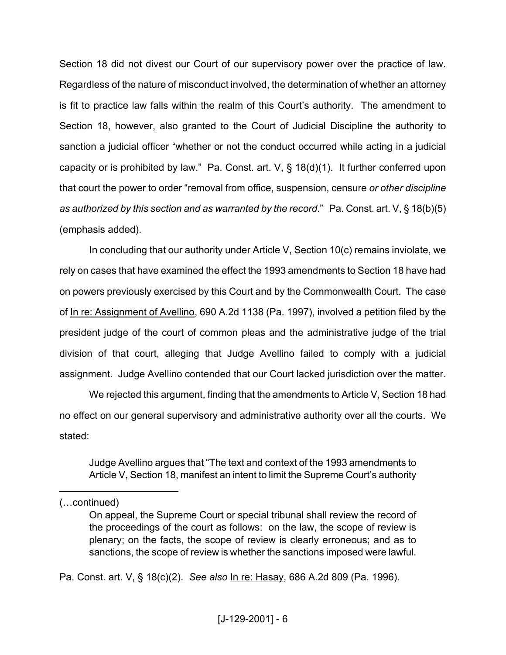Section 18 did not divest our Court of our supervisory power over the practice of law. Regardless of the nature of misconduct involved, the determination of whether an attorney is fit to practice law falls within the realm of this Court's authority. The amendment to Section 18, however, also granted to the Court of Judicial Discipline the authority to sanction a judicial officer "whether or not the conduct occurred while acting in a judicial capacity or is prohibited by law." Pa. Const. art. V, § 18(d)(1). It further conferred upon that court the power to order "removal from office, suspension, censure *or other discipline as authorized by this section and as warranted by the record*." Pa. Const. art. V, § 18(b)(5) (emphasis added).

In concluding that our authority under Article V, Section 10(c) remains inviolate, we rely on cases that have examined the effect the 1993 amendments to Section 18 have had on powers previously exercised by this Court and by the Commonwealth Court. The case of In re: Assignment of Avellino, 690 A.2d 1138 (Pa. 1997), involved a petition filed by the president judge of the court of common pleas and the administrative judge of the trial division of that court, alleging that Judge Avellino failed to comply with a judicial assignment. Judge Avellino contended that our Court lacked jurisdiction over the matter.

We rejected this argument, finding that the amendments to Article V, Section 18 had no effect on our general supervisory and administrative authority over all the courts. We stated:

Judge Avellino argues that "The text and context of the 1993 amendments to Article V, Section 18, manifest an intent to limit the Supreme Court's authority

1

Pa. Const. art. V, § 18(c)(2). *See also* In re: Hasay, 686 A.2d 809 (Pa. 1996).

<sup>(…</sup>continued)

On appeal, the Supreme Court or special tribunal shall review the record of the proceedings of the court as follows: on the law, the scope of review is plenary; on the facts, the scope of review is clearly erroneous; and as to sanctions, the scope of review is whether the sanctions imposed were lawful.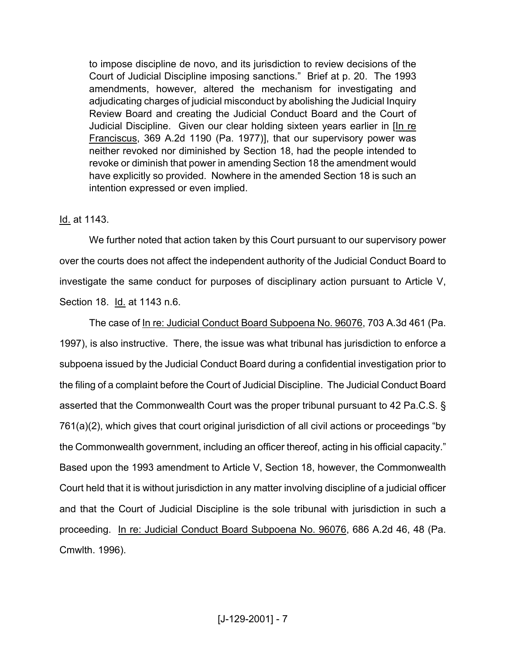to impose discipline de novo, and its jurisdiction to review decisions of the Court of Judicial Discipline imposing sanctions." Brief at p. 20. The 1993 amendments, however, altered the mechanism for investigating and adjudicating charges of judicial misconduct by abolishing the Judicial Inquiry Review Board and creating the Judicial Conduct Board and the Court of Judicial Discipline. Given our clear holding sixteen years earlier in [In re Franciscus, 369 A.2d 1190 (Pa. 1977)], that our supervisory power was neither revoked nor diminished by Section 18, had the people intended to revoke or diminish that power in amending Section 18 the amendment would have explicitly so provided. Nowhere in the amended Section 18 is such an intention expressed or even implied.

## Id. at 1143.

We further noted that action taken by this Court pursuant to our supervisory power over the courts does not affect the independent authority of the Judicial Conduct Board to investigate the same conduct for purposes of disciplinary action pursuant to Article V, Section 18. Id. at 1143 n.6.

The case of In re: Judicial Conduct Board Subpoena No. 96076, 703 A.3d 461 (Pa. 1997), is also instructive. There, the issue was what tribunal has jurisdiction to enforce a subpoena issued by the Judicial Conduct Board during a confidential investigation prior to the filing of a complaint before the Court of Judicial Discipline. The Judicial Conduct Board asserted that the Commonwealth Court was the proper tribunal pursuant to 42 Pa.C.S. § 761(a)(2), which gives that court original jurisdiction of all civil actions or proceedings "by the Commonwealth government, including an officer thereof, acting in his official capacity." Based upon the 1993 amendment to Article V, Section 18, however, the Commonwealth Court held that it is without jurisdiction in any matter involving discipline of a judicial officer and that the Court of Judicial Discipline is the sole tribunal with jurisdiction in such a proceeding. In re: Judicial Conduct Board Subpoena No. 96076, 686 A.2d 46, 48 (Pa. Cmwlth. 1996).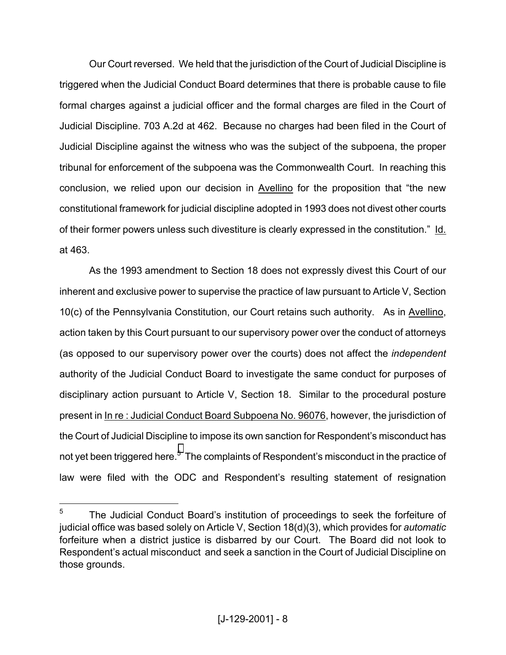Our Court reversed. We held that the jurisdiction of the Court of Judicial Discipline is triggered when the Judicial Conduct Board determines that there is probable cause to file formal charges against a judicial officer and the formal charges are filed in the Court of Judicial Discipline. 703 A.2d at 462. Because no charges had been filed in the Court of Judicial Discipline against the witness who was the subject of the subpoena, the proper tribunal for enforcement of the subpoena was the Commonwealth Court. In reaching this conclusion, we relied upon our decision in Avellino for the proposition that "the new constitutional framework for judicial discipline adopted in 1993 does not divest other courts of their former powers unless such divestiture is clearly expressed in the constitution." Id. at 463.

 As the 1993 amendment to Section 18 does not expressly divest this Court of our inherent and exclusive power to supervise the practice of law pursuant to Article V, Section 10(c) of the Pennsylvania Constitution, our Court retains such authority. As in Avellino, action taken by this Court pursuant to our supervisory power over the conduct of attorneys (as opposed to our supervisory power over the courts) does not affect the *independent* authority of the Judicial Conduct Board to investigate the same conduct for purposes of disciplinary action pursuant to Article V, Section 18. Similar to the procedural posture present in In re : Judicial Conduct Board Subpoena No. 96076, however, the jurisdiction of the Court of Judicial Discipline to impose its own sanction for Respondent's misconduct has not yet been triggered here.<sup>[5](#page-7-0)</sup> The complaints of Respondent's misconduct in the practice of law were filed with the ODC and Respondent's resulting statement of resignation

1

<span id="page-7-0"></span><sup>5</sup> The Judicial Conduct Board's institution of proceedings to seek the forfeiture of judicial office was based solely on Article V, Section 18(d)(3), which provides for *automatic* forfeiture when a district justice is disbarred by our Court. The Board did not look to Respondent's actual misconduct and seek a sanction in the Court of Judicial Discipline on those grounds.